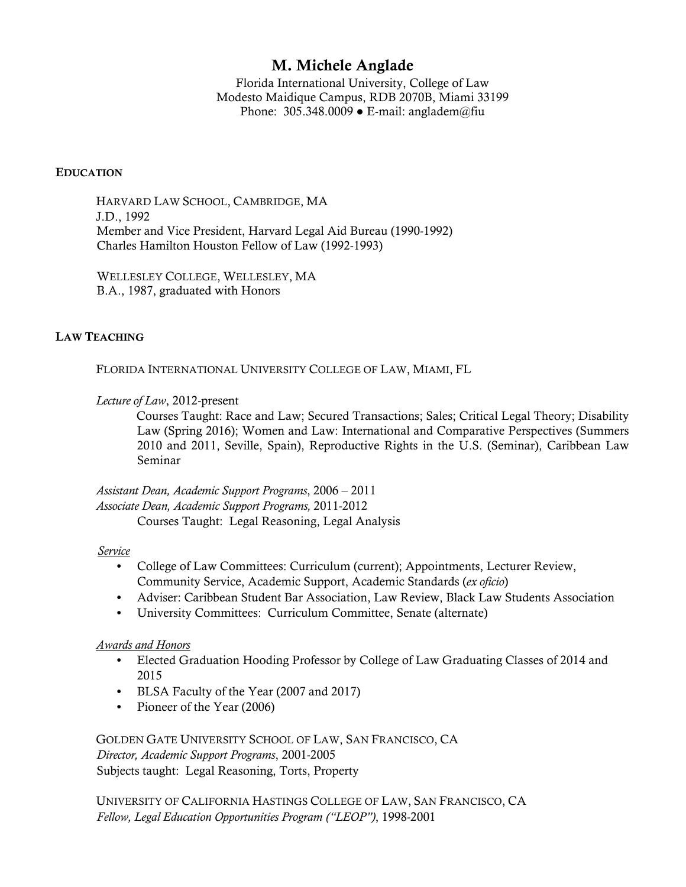# M. Michele Anglade

Florida International University, College of Law Modesto Maidique Campus, RDB 2070B, Miami 33199 Phone:  $305.348.0009 \bullet$  E-mail: angladem@fiu

## **EDUCATION**

HARVARD LAW SCHOOL, CAMBRIDGE, MA J.D., 1992 Member and Vice President, Harvard Legal Aid Bureau (1990-1992) Charles Hamilton Houston Fellow of Law (1992-1993)

WELLESLEY COLLEGE, WELLESLEY, MA B.A., 1987, graduated with Honors

## LAW TEACHING

FLORIDA INTERNATIONAL UNIVERSITY COLLEGE OF LAW, MIAMI, FL

*Lecture of Law*, 2012-present

Courses Taught: Race and Law; Secured Transactions; Sales; Critical Legal Theory; Disability Law (Spring 2016); Women and Law: International and Comparative Perspectives (Summers 2010 and 2011, Seville, Spain), Reproductive Rights in the U.S. (Seminar), Caribbean Law Seminar

*Assistant Dean, Academic Support Programs*, 2006 – 2011 *Associate Dean, Academic Support Programs,* 2011-2012 Courses Taught: Legal Reasoning, Legal Analysis

#### *Service*

- **•** College of Law Committees: Curriculum (current); Appointments, Lecturer Review, Community Service, Academic Support, Academic Standards (*ex oficio*)
- **•** Adviser: Caribbean Student Bar Association, Law Review, Black Law Students Association
- **•** University Committees: Curriculum Committee, Senate (alternate)

#### *Awards and Honors*

- **•** Elected Graduation Hooding Professor by College of Law Graduating Classes of 2014 and 2015
- **•** BLSA Faculty of the Year (2007 and 2017)
- **•** Pioneer of the Year (2006)

GOLDEN GATE UNIVERSITY SCHOOL OF LAW, SAN FRANCISCO, CA *Director, Academic Support Programs*, 2001-2005 Subjects taught: Legal Reasoning, Torts, Property

UNIVERSITY OF CALIFORNIA HASTINGS COLLEGE OF LAW, SAN FRANCISCO, CA *Fellow, Legal Education Opportunities Program ("LEOP")*, 1998-2001